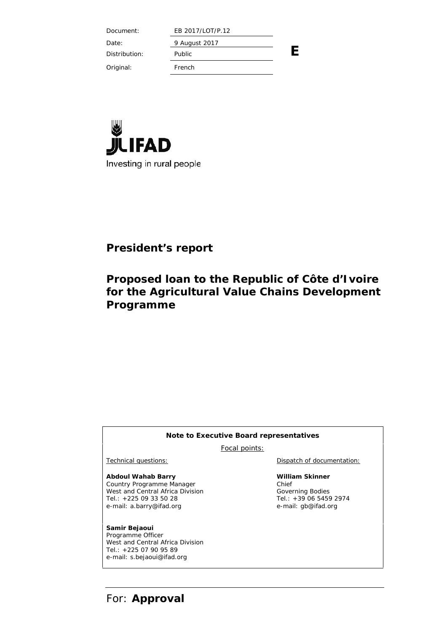Document: EB 2017/LOT/P.12

Date: 9 August 2017

Distribution: Public

Original: French



# **President's report**

# **Proposed loan to the Republic of Côte d'Ivoire for the Agricultural Value Chains Development Programme**

### **Note to Executive Board representatives**

Focal points:

**Abdoul Wahab Barry** Country Programme Manager West and Central Africa Division Tel.: +225 09 33 50 28 e-mail: a.barry@ifad.org

**Samir Bejaoui** Programme Officer West and Central Africa Division Tel.: +225 07 90 95 89 e-mail: s.bejaoui@ifad.org

Technical questions: Dispatch of documentation:

**E**

**William Skinner** Chief Governing Bodies Tel.: +39 06 5459 2974 e-mail: gb@ifad.org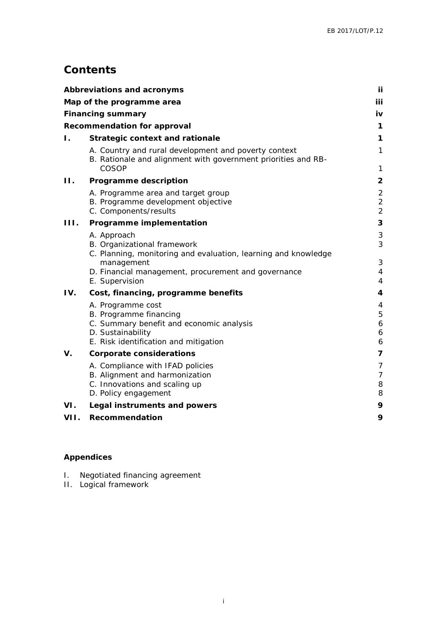# **Contents**

|                | Abbreviations and acronyms                                                                                                                            | Ϊİ                                                 |
|----------------|-------------------------------------------------------------------------------------------------------------------------------------------------------|----------------------------------------------------|
|                | Map of the programme area                                                                                                                             | iii                                                |
|                | Financing summary                                                                                                                                     | iv                                                 |
|                | Recommendation for approval                                                                                                                           | 1                                                  |
| $\mathbf{L}$ . | Strategic context and rationale                                                                                                                       | 1                                                  |
|                | A. Country and rural development and poverty context<br>B. Rationale and alignment with government priorities and RB-<br>COSOP                        | 1<br>1                                             |
| 11.            | Programme description                                                                                                                                 | $\overline{2}$                                     |
|                | A. Programme area and target group<br>B. Programme development objective<br>C. Components/results                                                     | $\overline{2}$<br>$\overline{2}$<br>$\overline{2}$ |
| 111.           | Programme implementation                                                                                                                              | 3                                                  |
|                | A. Approach<br>B. Organizational framework<br>C. Planning, monitoring and evaluation, learning and knowledge                                          | 3<br>3                                             |
|                | management<br>D. Financial management, procurement and governance<br>E. Supervision                                                                   | 3<br>$\overline{4}$<br>4                           |
| IV.            | Cost, financing, programme benefits                                                                                                                   | 4                                                  |
|                | A. Programme cost<br>B. Programme financing<br>C. Summary benefit and economic analysis<br>D. Sustainability<br>E. Risk identification and mitigation | 4<br>5<br>6<br>6<br>6                              |
| V.             | Corporate considerations                                                                                                                              | 7                                                  |
|                | A. Compliance with IFAD policies<br>B. Alignment and harmonization<br>C. Innovations and scaling up<br>D. Policy engagement                           | 7<br>7<br>8<br>8                                   |
| VI.            | Legal instruments and powers                                                                                                                          | 9                                                  |
| VII.           | Recommendation                                                                                                                                        | 9                                                  |

### **Appendices**

- I. Negotiated financing agreement
- II. Logical framework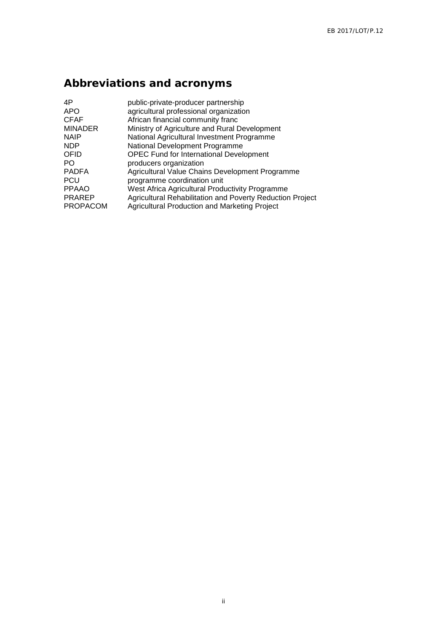# **Abbreviations and acronyms**

| 4P              | public-private-producer partnership                       |
|-----------------|-----------------------------------------------------------|
| <b>APO</b>      | agricultural professional organization                    |
| <b>CFAF</b>     | African financial community franc                         |
| <b>MINADER</b>  | Ministry of Agriculture and Rural Development             |
| <b>NAIP</b>     | National Agricultural Investment Programme                |
| <b>NDP</b>      | National Development Programme                            |
| OFID            | <b>OPEC Fund for International Development</b>            |
| PO.             | producers organization                                    |
| <b>PADFA</b>    | Agricultural Value Chains Development Programme           |
| <b>PCU</b>      | programme coordination unit                               |
| <b>PPAAO</b>    | West Africa Agricultural Productivity Programme           |
| <b>PRAREP</b>   | Agricultural Rehabilitation and Poverty Reduction Project |
| <b>PROPACOM</b> | Agricultural Production and Marketing Project             |
|                 |                                                           |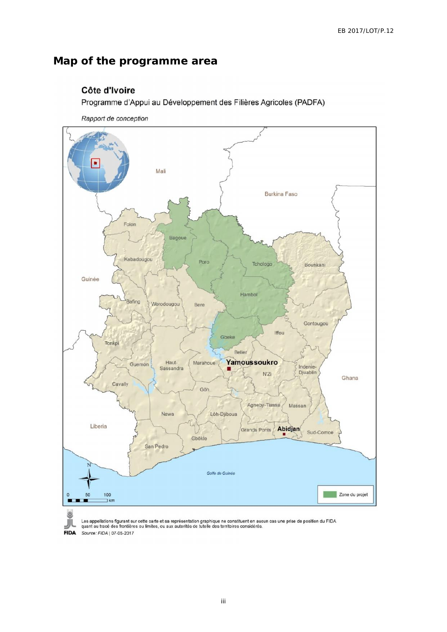# **Map of the programme area**

### Côte d'Ivoire

Programme d'Appui au Développement des Filières Agricoles (PADFA)

Rapport de conception





Les appellations figurant sur cette carte et sa représentation graphique ne constituent en aucun cas une prise de position du FIDA<br>quant au tracé des frontières ou limites, ou aux autorités de tutelle des territoires consi

**FIDA** Source: FIDA | 07-05-2017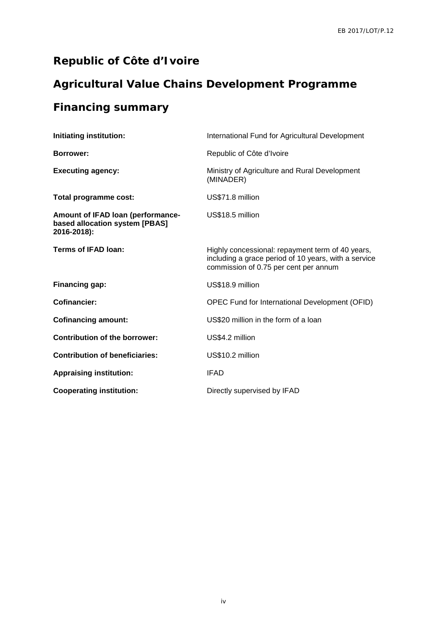# **Republic of Côte d'Ivoire**

# **Agricultural Value Chains Development Programme**

# **Financing summary**

| Initiating institution:                                                            | International Fund for Agricultural Development                                                                                                   |
|------------------------------------------------------------------------------------|---------------------------------------------------------------------------------------------------------------------------------------------------|
| Borrower:                                                                          | Republic of Côte d'Ivoire                                                                                                                         |
| <b>Executing agency:</b>                                                           | Ministry of Agriculture and Rural Development<br>(MINADER)                                                                                        |
| Total programme cost:                                                              | US\$71.8 million                                                                                                                                  |
| Amount of IFAD loan (performance-<br>based allocation system [PBAS]<br>2016-2018): | US\$18.5 million                                                                                                                                  |
| <b>Terms of IFAD loan:</b>                                                         | Highly concessional: repayment term of 40 years,<br>including a grace period of 10 years, with a service<br>commission of 0.75 per cent per annum |
| Financing gap:                                                                     | US\$18.9 million                                                                                                                                  |
| <b>Cofinancier:</b>                                                                | OPEC Fund for International Development (OFID)                                                                                                    |
| <b>Cofinancing amount:</b>                                                         | US\$20 million in the form of a loan                                                                                                              |
| <b>Contribution of the borrower:</b>                                               | US\$4.2 million                                                                                                                                   |
| <b>Contribution of beneficiaries:</b>                                              | US\$10.2 million                                                                                                                                  |
| <b>Appraising institution:</b>                                                     | <b>IFAD</b>                                                                                                                                       |
| <b>Cooperating institution:</b>                                                    | Directly supervised by IFAD                                                                                                                       |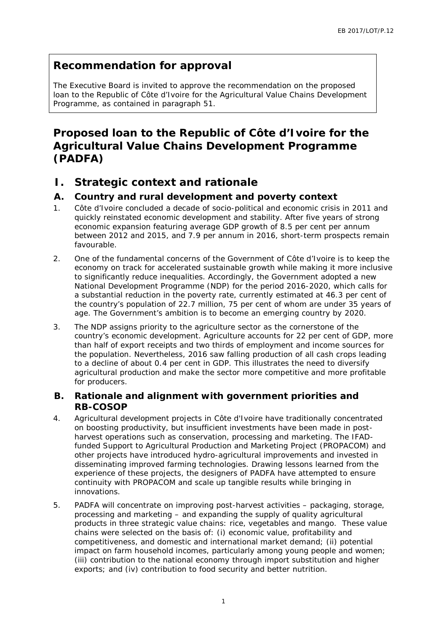# **Recommendation for approval**

The Executive Board is invited to approve the recommendation on the proposed loan to the Republic of Côte d'Ivoire for the Agricultural Value Chains Development Programme, as contained in paragraph 51.

**Proposed loan to the Republic of Côte d'Ivoire for the Agricultural Value Chains Development Programme (PADFA)**

- **I. Strategic context and rationale**
- **A. Country and rural development and poverty context**
- 1. Côte d'Ivoire concluded a decade of socio-political and economic crisis in 2011 and quickly reinstated economic development and stability. After five years of strong economic expansion featuring average GDP growth of 8.5 per cent per annum between 2012 and 2015, and 7.9 per annum in 2016, short-term prospects remain favourable.
- 2. One of the fundamental concerns of the Government of Côte d'Ivoire is to keep the economy on track for accelerated sustainable growth while making it more inclusive to significantly reduce inequalities. Accordingly, the Government adopted a new National Development Programme (NDP) for the period 2016-2020, which calls for a substantial reduction in the poverty rate, currently estimated at 46.3 per cent of the country's population of 22.7 million, 75 per cent of whom are under 35 years of age. The Government's ambition is to become an emerging country by 2020.
- 3. The NDP assigns priority to the agriculture sector as the cornerstone of the country's economic development. Agriculture accounts for 22 per cent of GDP, more than half of export receipts and two thirds of employment and income sources for the population. Nevertheless, 2016 saw falling production of all cash crops leading to a decline of about 0.4 per cent in GDP. This illustrates the need to diversify agricultural production and make the sector more competitive and more profitable for producers.
- **B. Rationale and alignment with government priorities and RB-COSOP**
- 4. Agricultural development projects in Côte d'Ivoire have traditionally concentrated on boosting productivity, but insufficient investments have been made in post harvest operations such as conservation, processing and marketing. The IFADfunded Support to Agricultural Production and Marketing Project (PROPACOM) and other projects have introduced hydro-agricultural improvements and invested in disseminating improved farming technologies. Drawing lessons learned from the experience of these projects, the designers of PADFA have attempted to ensure continuity with PROPACOM and scale up tangible results while bringing in innovations.
- 5. PADFA will concentrate on improving post-harvest activities packaging, storage, processing and marketing – and expanding the supply of quality agricultural products in three strategic value chains: rice, vegetables and mango. These value chains were selected on the basis of: (i) economic value, profitability and competitiveness, and domestic and international market demand; (ii) potential impact on farm household incomes, particularly among young people and women; (iii) contribution to the national economy through import substitution and higher exports; and (iv) contribution to food security and better nutrition.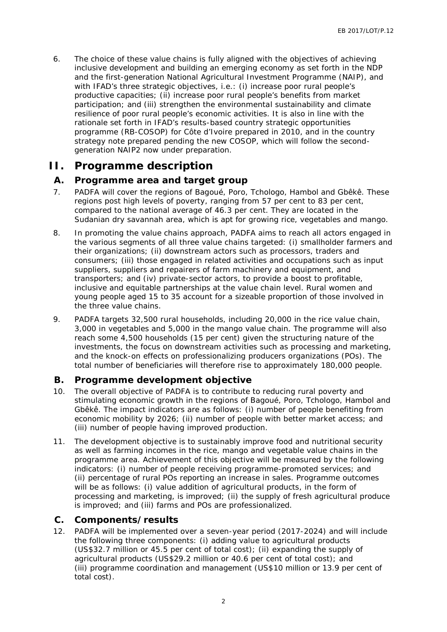6. The choice of these value chains is fully aligned with the objectives of achieving inclusive development and building an emerging economy as set forth in the NDP and the first-generation National Agricultural Investment Programme (NAIP), and with IFAD's three strategic objectives, i.e.: (i) increase poor rural people's productive capacities; (ii) increase poor rural people's benefits from market participation; and (iii) strengthen the environmental sustainability and climate resilience of poor rural people's economic activities. It is also in line with the rationale set forth in IFAD's results-based country strategic opportunities programme (RB-COSOP) for Côte d'Ivoire prepared in 2010, and in the country strategy note prepared pending the new COSOP, which will follow the second generation NAIP2 now under preparation.

# **II. Programme description**

### **A. Programme area and target group**

- 7. PADFA will cover the regions of Bagoué, Poro, Tchologo, Hambol and Gbêkê. These regions post high levels of poverty, ranging from 57 per cent to 83 per cent, compared to the national average of 46.3 per cent. They are located in the Sudanian dry savannah area, which is apt for growing rice, vegetables and mango.
- 8. In promoting the value chains approach, PADFA aims to reach all actors engaged in the various segments of all three value chains targeted: (i) smallholder farmers and their organizations; (ii) downstream actors such as processors, traders and consumers; (iii) those engaged in related activities and occupations such as input suppliers, suppliers and repairers of farm machinery and equipment, and transporters; and (iv) private-sector actors, to provide a boost to profitable, inclusive and equitable partnerships at the value chain level. Rural women and young people aged 15 to 35 account for a sizeable proportion of those involved in the three value chains.
- 9. PADFA targets 32,500 rural households, including 20,000 in the rice value chain, 3,000 in vegetables and 5,000 in the mango value chain. The programme will also reach some 4,500 households (15 per cent) given the structuring nature of the investments, the focus on downstream activities such as processing and marketing, and the knock-on effects on professionalizing producers organizations (POs). The total number of beneficiaries will therefore rise to approximately 180,000 people.

### **B. Programme development objective**

- 10. The overall objective of PADFA is to contribute to reducing rural poverty and stimulating economic growth in the regions of Bagoué, Poro, Tchologo, Hambol and Gbêkê. The impact indicators are as follows: (i) number of people benefiting from economic mobility by 2026; (ii) number of people with better market access; and (iii) number of people having improved production.
- 11. The development objective is to sustainably improve food and nutritional security as well as farming incomes in the rice, mango and vegetable value chains in the programme area. Achievement of this objective will be measured by the following indicators: (i) number of people receiving programme-promoted services; and (ii) percentage of rural POs reporting an increase in sales. Programme outcomes will be as follows: (i) value addition of agricultural products, in the form of processing and marketing, is improved; (ii) the supply of fresh agricultural produce is improved; and (iii) farms and POs are professionalized.
- **C. Components/results**
- 12. PADFA will be implemented over a seven-year period (2017-2024) and will include the following three components: (i) adding value to agricultural products (US\$32.7 million or 45.5 per cent of total cost); (ii) expanding the supply of agricultural products (US\$29.2 million or 40.6 per cent of total cost); and (iii) programme coordination and management (US\$10 million or 13.9 per cent of total cost).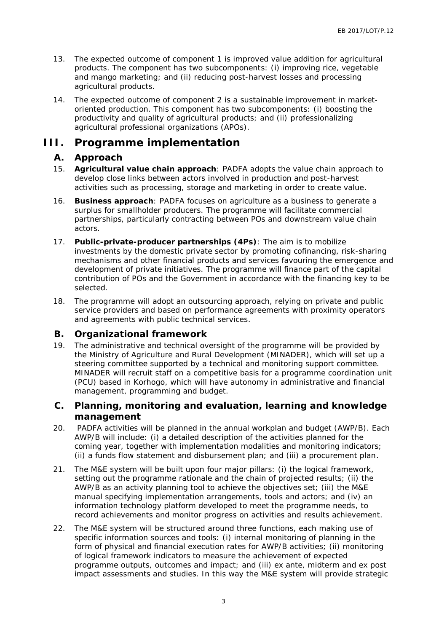- 13. The expected outcome of component 1 is improved value addition for agricultural products. The component has two subcomponents: (i) improving rice, vegetable and mango marketing; and (ii) reducing post-harvest losses and processing agricultural products.
- 14. The expected outcome of component 2 is a sustainable improvement in market oriented production. This component has two subcomponents: (i) boosting the productivity and quality of agricultural products; and (ii) professionalizing agricultural professional organizations (APOs).

## **III. Programme implementation**

### **A. Approach**

- 15. **Agricultural value chain approach**: PADFA adopts the value chain approach to develop close links between actors involved in production and post-harvest activities such as processing, storage and marketing in order to create value.
- 16. **Business approach**: PADFA focuses on agriculture as a business to generate a surplus for smallholder producers. The programme will facilitate commercial partnerships, particularly contracting between POs and downstream value chain actors.
- 17. **Public-private-producer partnerships (4Ps)**: The aim is to mobilize investments by the domestic private sector by promoting cofinancing, risk-sharing mechanisms and other financial products and services favouring the emergence and development of private initiatives. The programme will finance part of the capital contribution of POs and the Government in accordance with the financing key to be selected.
- 18. The programme will adopt an outsourcing approach, relying on private and public service providers and based on performance agreements with proximity operators and agreements with public technical services.
- **B. Organizational framework**
- 19. The administrative and technical oversight of the programme will be provided by the Ministry of Agriculture and Rural Development (MINADER), which will set up a steering committee supported by a technical and monitoring support committee. MINADER will recruit staff on a competitive basis for a programme coordination unit (PCU) based in Korhogo, which will have autonomy in administrative and financial management, programming and budget.
- **C. Planning, monitoring and evaluation, learning and knowledge management**
- 20. PADFA activities will be planned in the annual workplan and budget (AWP/B). Each AWP/B will include: (i) a detailed description of the activities planned for the coming year, together with implementation modalities and monitoring indicators; (ii) a funds flow statement and disbursement plan; and (iii) a procurement plan.
- 21. The M&E system will be built upon four major pillars: (i) the logical framework, setting out the programme rationale and the chain of projected results; (ii) the AWP/B as an activity planning tool to achieve the objectives set; (iii) the M&E manual specifying implementation arrangements, tools and actors; and (iv) an information technology platform developed to meet the programme needs, to record achievements and monitor progress on activities and results achievement.
- 22. The M&E system will be structured around three functions, each making use of specific information sources and tools: (i) internal monitoring of planning in the form of physical and financial execution rates for AWP/B activities; (ii) monitoring of logical framework indicators to measure the achievement of expected programme outputs, outcomes and impact; and (iii) ex ante, midterm and ex post impact assessments and studies. In this way the M&E system will provide strategic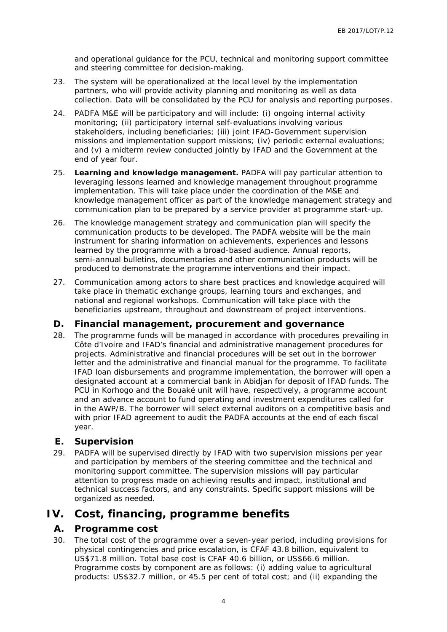and operational guidance for the PCU, technical and monitoring support committee and steering committee for decision-making.

- 23. The system will be operationalized at the local level by the implementation partners, who will provide activity planning and monitoring as well as data collection. Data will be consolidated by the PCU for analysis and reporting purposes.
- 24. PADFA M&E will be participatory and will include: (i) ongoing internal activity monitoring; (ii) participatory internal self-evaluations involving various stakeholders, including beneficiaries; (iii) joint IFAD-Government supervision missions and implementation support missions; (iv) periodic external evaluations; and (v) a midterm review conducted jointly by IFAD and the Government at the end of year four.
- 25. **Learning and knowledge management.** PADFA will pay particular attention to leveraging lessons learned and knowledge management throughout programme implementation. This will take place under the coordination of the M&E and knowledge management officer as part of the knowledge management strategy and communication plan to be prepared by a service provider at programme start-up.
- 26. The knowledge management strategy and communication plan will specify the communication products to be developed. The PADFA website will be the main instrument for sharing information on achievements, experiences and lessons learned by the programme with a broad-based audience. Annual reports, semi-annual bulletins, documentaries and other communication products will be produced to demonstrate the programme interventions and their impact.
- 27. Communication among actors to share best practices and knowledge acquired will take place in thematic exchange groups, learning tours and exchanges, and national and regional workshops. Communication will take place with the beneficiaries upstream, throughout and downstream of project interventions.
- **D. Financial management, procurement and governance**
- 28. The programme funds will be managed in accordance with procedures prevailing in Côte d'Ivoire and IFAD's financial and administrative management procedures for projects. Administrative and financial procedures will be set out in the borrower letter and the administrative and financial manual for the programme. To facilitate IFAD loan disbursements and programme implementation, the borrower will open a designated account at a commercial bank in Abidjan for deposit of IFAD funds. The PCU in Korhogo and the Bouaké unit will have, respectively, a programme account and an advance account to fund operating and investment expenditures called for in the AWP/B. The borrower will select external auditors on a competitive basis and with prior IFAD agreement to audit the PADFA accounts at the end of each fiscal year.
- **E. Supervision**
- 29. PADFA will be supervised directly by IFAD with two supervision missions per year and participation by members of the steering committee and the technical and monitoring support committee. The supervision missions will pay particular attention to progress made on achieving results and impact, institutional and technical success factors, and any constraints. Specific support missions will be organized as needed.

# **IV. Cost, financing, programme benefits**

### **A. Programme cost**

30. The total cost of the programme over a seven-year period, including provisions for physical contingencies and price escalation, is CFAF 43.8 billion, equivalent to US\$71.8 million. Total base cost is CFAF 40.6 billion, or US\$66.6 million. Programme costs by component are as follows: (i) adding value to agricultural products: US\$32.7 million, or 45.5 per cent of total cost; and (ii) expanding the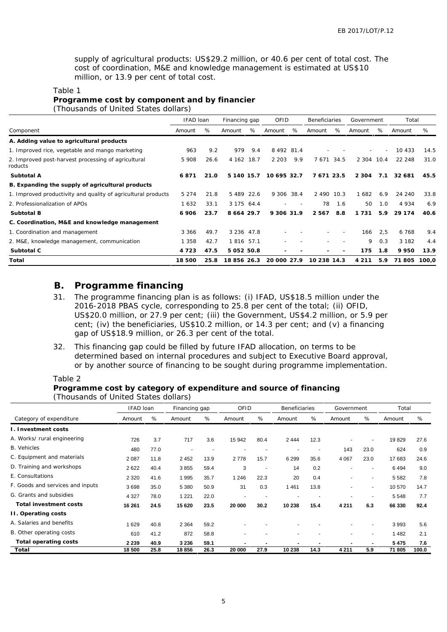supply of agricultural products: US\$29.2 million, or 40.6 per cent of total cost. The cost of coordination, M&E and knowledge management is estimated at US\$10 million, or 13.9 per cent of total cost.

#### Table 1

**Programme cost by component and by financier** (Thousands of United States dollars)

|                                                                | IFAD loan |      | Financing gap   |     | OFID                     |        | <b>Beneficiaries</b>     |                          | Government |                          | Total    |       |
|----------------------------------------------------------------|-----------|------|-----------------|-----|--------------------------|--------|--------------------------|--------------------------|------------|--------------------------|----------|-------|
| Component                                                      | Amount    | %    | Amount          | %   | Amount                   | %      | Amount                   | %                        | Amount     | %                        | Amount   | %     |
| A. Adding value to agricultural products                       |           |      |                 |     |                          |        |                          |                          |            |                          |          |       |
| 1. Improved rice, vegetable and mango marketing                | 963       | 9.2  | 979             | 9.4 | 8 4 9 2 8 1.4            |        |                          |                          |            | $\overline{\phantom{a}}$ | 10 4 3 3 | 14.5  |
| 2. Improved post-harvest processing of agricultural<br>roducts | 5 9 0 8   | 26.6 | 4 162 18.7      |     | 2 2 0 3                  | 9.9    | 7 671 34.5               |                          | 2 304 10.4 |                          | 22 248   | 31.0  |
| Subtotal A                                                     | 6871      | 21.0 | 5 140 15.7      |     | 10 695 32.7              |        | 7671 23.5                |                          | 2 3 0 4    | 7.1                      | 32 681   | 45.5  |
| B. Expanding the supply of agricultural products               |           |      |                 |     |                          |        |                          |                          |            |                          |          |       |
| 1. Improved productivity and quality of agricultural products  | 5 2 7 4   | 21.8 | 5 489 22.6      |     | 9 306 38.4               |        | 2 490 10.3               |                          | 1 682      | 6.9                      | 24 240   | 33.8  |
| 2. Professionalization of APOs                                 | 1632      | 33.1 | 3 175 64.4      |     | $\overline{\phantom{0}}$ | $\sim$ | 78                       | 1.6                      | 50         | 1.0                      | 4 9 3 4  | 6.9   |
| Subtotal B                                                     | 6 906     | 23.7 | 8 6 6 4 2 9 . 7 |     | 9 306 31.9               |        | 2 5 6 7                  | 8.8                      | 1731       | 5.9                      | 29 1 7 4 | 40.6  |
| C. Coordination, M&E and knowledge management                  |           |      |                 |     |                          |        |                          |                          |            |                          |          |       |
| 1. Coordination and management                                 | 3 3 6 6   | 49.7 | 3 2 3 6 4 7 . 8 |     |                          |        |                          | $\overline{\phantom{a}}$ | 166        | 2,5                      | 6 7 6 8  | 9.4   |
| 2. M&E, knowledge management, communication                    | 1 3 5 8   | 42.7 | 1 8 1 6 5 7 . 1 |     |                          |        |                          |                          | 9          | 0.3                      | 3 1 8 2  | 4.4   |
| Subtotal C                                                     | 4 7 2 3   | 47.5 | 5 0 5 2 5 0 . 8 |     |                          |        | $\overline{\phantom{a}}$ | $\overline{\phantom{a}}$ | 175        | 1.8                      | 9950     | 13.9  |
| Total                                                          | 18 500    | 25.8 | 18 856 26.3     |     | 20 000 27.9              |        | 10 238 14.3              |                          | 4 2 1 1    | 5.9                      | 71805    | 100.0 |

### **B. Programme financing**

- 31. The programme financing plan is as follows: (i) IFAD, US\$18.5 million under the 2016-2018 PBAS cycle, corresponding to 25.8 per cent of the total; (ii) OFID, US\$20.0 million, or 27.9 per cent; (iii) the Government, US\$4.2 million, or 5.9 per cent; (iv) the beneficiaries, US\$10.2 million, or 14.3 per cent; and (v) a financing gap of US\$18.9 million, or 26.3 per cent of the total.
- 32. This financing gap could be filled by future IFAD allocation, on terms to be determined based on internal procedures and subject to Executive Board approval, or by another source of financing to be sought during programme implementation.

#### Table 2

**Programme cost by category of expenditure and source of financing** (Thousands of United States dollars)

|                                  | IFAD loan |      | Financing gap |                          | OFID                     |                          | <b>Beneficiaries</b> |      | Government               |                | Total   |       |
|----------------------------------|-----------|------|---------------|--------------------------|--------------------------|--------------------------|----------------------|------|--------------------------|----------------|---------|-------|
| Category of expenditure          | Amount    | %    | Amount        | %                        | Amount                   | %                        | Amount               | %    | Amount                   | %              | Amount  | %     |
| L. Investment costs              |           |      |               |                          |                          |                          |                      |      |                          |                |         |       |
| A. Works/ rural engineering      | 726       | 3.7  | 717           | 3.6                      | 15 942                   | 80.4                     | 2444                 | 12.3 |                          |                | 19829   | 27.6  |
| <b>B.</b> Vehicles               | 480       | 77.0 |               | $\overline{\phantom{a}}$ |                          |                          |                      |      | 143                      | 23.0           | 624     | 0.9   |
| C. Equipment and materials       | 2 0 8 7   | 11.8 | 2452          | 13.9                     | 2778                     | 15.7                     | 6 2 9 9              | 35.6 | 4 0 6 7                  | 23.0           | 17 683  | 24.6  |
| D. Training and workshops        | 2622      | 40.4 | 3855          | 59.4                     | 3                        | $\sim$                   | 14                   | 0.2  |                          | $\overline{a}$ | 6494    | 9.0   |
| E. Consultations                 | 2 3 2 0   | 41.6 | 1995          | 35.7                     | 1 2 4 6                  | 22.3                     | 20                   | 0.4  | $\overline{\phantom{a}}$ |                | 5 5 8 2 | 7.8   |
| F. Goods and services and inputs | 3698      | 35.0 | 5 3 8 0       | 50.9                     | 31                       | 0.3                      | 461                  | 13.8 |                          |                | 10 570  | 14.7  |
| G. Grants and subsidies          | 4 3 2 7   | 78.0 | 1 2 2 1       | 22.0                     |                          | $\overline{\phantom{a}}$ |                      |      |                          |                | 5 5 4 8 | 7.7   |
| Total investment costs           | 16 261    | 24.5 | 15 620        | 23.5                     | 20 000                   | 30.2                     | 10 238               | 15.4 | 4 2 1 1                  | 6.3            | 66 330  | 92.4  |
| II. Operating costs              |           |      |               |                          |                          |                          |                      |      |                          |                |         |       |
| A. Salaries and benefits         | 1629      | 40.8 | 2 3 6 4       | 59.2                     |                          |                          |                      |      |                          |                | 3993    | 5.6   |
| B. Other operating costs         | 610       | 41.2 | 872           | 58.8                     | $\overline{\phantom{a}}$ |                          |                      |      | $\overline{a}$           |                | 1 4 8 2 | 2.1   |
| Total operating costs            | 2 2 3 9   | 40.9 | 3 2 3 6       | 59.1                     |                          |                          |                      |      | $\overline{\phantom{a}}$ |                | 5475    | 7.6   |
| Total                            | 18 500    | 25.8 | 18856         | 26.3                     | 20 000                   | 27.9                     | 10 238               | 14.3 | 4 2 1 1                  | 5.9            | 71 805  | 100.0 |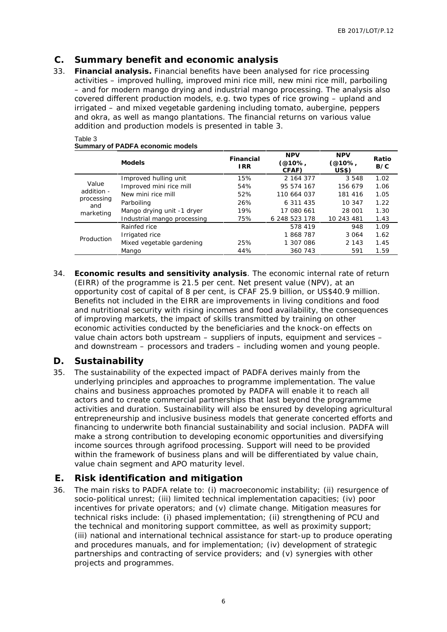### **C. Summary benefit and economic analysis**

33. **Financial analysis.** Financial benefits have been analysed for rice processing activities – improved hulling, improved mini rice mill, new mini rice mill, parboiling – and for modern mango drying and industrial mango processing. The analysis also covered different production models, e.g. two types of rice growing – upland and irrigated – and mixed vegetable gardening including tomato, aubergine, peppers and okra, as well as mango plantations. The financial returns on various value addition and production models is presented in table 3.

|                   | <b>Models</b>               | Financial<br>I RR | <b>NPV</b><br>(@10%,<br>CFAF) | <b>NPV</b><br>(@10%,<br>US\$) | Ratio<br>B/C |
|-------------------|-----------------------------|-------------------|-------------------------------|-------------------------------|--------------|
|                   | Improved hulling unit       | 15%               | 2 164 377                     | 3 5 4 8                       | 1.02         |
| Value             | Improved mini rice mill     | 54%               | 95 574 167                    | 156 679                       | 1.06         |
| addition -        | New mini rice mill          | 52%               | 110 664 037                   | 181 416                       | 1.05         |
| processing<br>and | Parboiling                  | 26%               | 6 311 435                     | 10 347                        | 1.22         |
| marketing         | Mango drying unit -1 dryer  | 19%               | 17 080 661                    | 28 001                        | 1.30         |
|                   | Industrial mango processing | 75%               | 6 248 523 178                 | 10 243 481                    | 1.43         |
|                   | Rainfed rice                |                   | 578 419                       | 948                           | 1.09         |
| Production        | Irrigated rice              |                   | 1868787                       | 3 0 6 4                       | 1.62         |
|                   | Mixed vegetable gardening   | 25%               | 1 307 086                     | 2 1 4 3                       | 1.45         |
|                   | Mango                       | 44%               | 360 743                       | 591                           | 1.59         |

#### Table 3 **Summary of PADFA economic models**

34. **Economic results and sensitivity analysis**. The economic internal rate of return (EIRR) of the programme is 21.5 per cent. Net present value (NPV), at an opportunity cost of capital of 8 per cent, is CFAF 25.9 billion, or US\$40.9 million. Benefits not included in the EIRR are improvements in living conditions and food and nutritional security with rising incomes and food availability, the consequences of improving markets, the impact of skills transmitted by training on other economic activities conducted by the beneficiaries and the knock-on effects on value chain actors both upstream – suppliers of inputs, equipment and services – and downstream – processors and traders – including women and young people.

### **D. Sustainability**

35. The sustainability of the expected impact of PADFA derives mainly from the underlying principles and approaches to programme implementation. The value chains and business approaches promoted by PADFA will enable it to reach all actors and to create commercial partnerships that last beyond the programme activities and duration. Sustainability will also be ensured by developing agricultural entrepreneurship and inclusive business models that generate concerted efforts and financing to underwrite both financial sustainability and social inclusion. PADFA will make a strong contribution to developing economic opportunities and diversifying income sources through agrifood processing. Support will need to be provided within the framework of business plans and will be differentiated by value chain, value chain segment and APO maturity level.

### **E. Risk identification and mitigation**

36. The main risks to PADFA relate to: (i) macroeconomic instability; (ii) resurgence of socio-political unrest; (iii) limited technical implementation capacities; (iv) poor incentives for private operators; and (v) climate change. Mitigation measures for technical risks include: (i) phased implementation; (ii) strengthening of PCU and the technical and monitoring support committee, as well as proximity support; (iii) national and international technical assistance for start-up to produce operating and procedures manuals, and for implementation; (iv) development of strategic partnerships and contracting of service providers; and (v) synergies with other projects and programmes.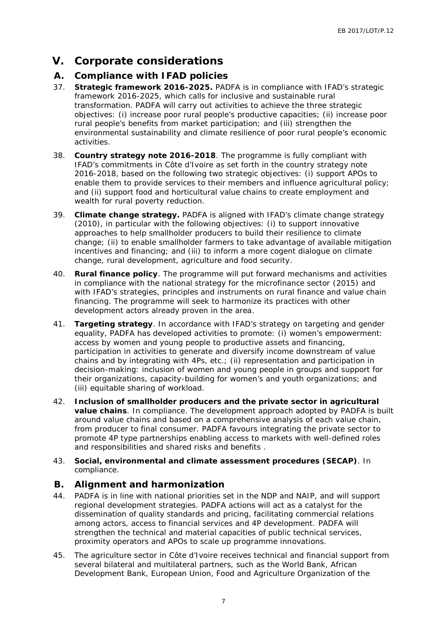# **V. Corporate considerations**

### **A. Compliance with IFAD policies**

- 37. **Strategic framework 2016-2025.** PADFA is in compliance with IFAD's strategic framework 2016-2025, which calls for inclusive and sustainable rural transformation. PADFA will carry out activities to achieve the three strategic objectives: (i) increase poor rural people's productive capacities; (ii) increase poor rural people's benefits from market participation; and (iii) strengthen the environmental sustainability and climate resilience of poor rural people's economic activities.
- 38. **Country strategy note 2016-2018**. The programme is fully compliant with IFAD's commitments in Côte d'Ivoire as set forth in the country strategy note 2016-2018, based on the following two strategic objectives: (i) support APOs to enable them to provide services to their members and influence agricultural policy; and (ii) support food and horticultural value chains to create employment and wealth for rural poverty reduction.
- 39. **Climate change strategy.** PADFA is aligned with IFAD's climate change strategy (2010), in particular with the following objectives: (i) to support innovative approaches to help smallholder producers to build their resilience to climate change; (ii) to enable smallholder farmers to take advantage of available mitigation incentives and financing; and (iii) to inform a more cogent dialogue on climate change, rural development, agriculture and food security.
- 40. **Rural finance policy**. The programme will put forward mechanisms and activities in compliance with the national strategy for the microfinance sector (2015) and with IFAD's strategies, principles and instruments on rural finance and value chain financing. The programme will seek to harmonize its practices with other development actors already proven in the area.
- 41. **Targeting strategy**. In accordance with IFAD's strategy on targeting and gender equality, PADFA has developed activities to promote: (i) women's empowerment: access by women and young people to productive assets and financing, participation in activities to generate and diversify income downstream of value chains and by integrating with 4Ps, etc.; (ii) representation and participation in decision-making: inclusion of women and young people in groups and support for their organizations, capacity-building for women's and youth organizations; and (iii) equitable sharing of workload.
- 42. **Inclusion of smallholder producers and the private sector in agricultural value chains**. In compliance. The development approach adopted by PADFA is built around value chains and based on a comprehensive analysis of each value chain, from producer to final consumer. PADFA favours integrating the private sector to promote 4P type partnerships enabling access to markets with well-defined roles and responsibilities and shared risks and benefits .
- 43. **Social, environmental and climate assessment procedures (SECAP)**. In compliance.

### **B. Alignment and harmonization**

- 44. PADFA is in line with national priorities set in the NDP and NAIP, and will support regional development strategies. PADFA actions will act as a catalyst for the dissemination of quality standards and pricing, facilitating commercial relations among actors, access to financial services and 4P development. PADFA will strengthen the technical and material capacities of public technical services, proximity operators and APOs to scale up programme innovations.
- 45. The agriculture sector in Côte d'Ivoire receives technical and financial support from several bilateral and multilateral partners, such as the World Bank, African Development Bank, European Union, Food and Agriculture Organization of the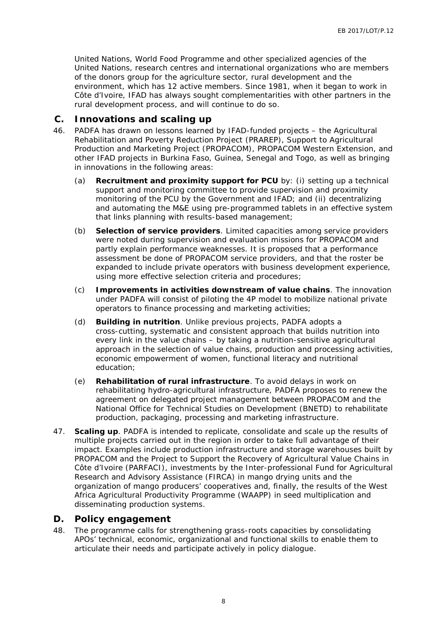United Nations, World Food Programme and other specialized agencies of the United Nations, research centres and international organizations who are members of the donors group for the agriculture sector, rural development and the environment, which has 12 active members. Since 1981, when it began to work in Côte d'Ivoire, IFAD has always sought complementarities with other partners in the rural development process, and will continue to do so.

### **C. Innovations and scaling up**

- 46. PADFA has drawn on lessons learned by IFAD-funded projects the Agricultural Rehabilitation and Poverty Reduction Project (PRAREP), Support to Agricultural Production and Marketing Project (PROPACOM), PROPACOM Western Extension, and other IFAD projects in Burkina Faso, Guinea, Senegal and Togo, as well as bringing in innovations in the following areas:
	- (a) **Recruitment and proximity support for PCU** by: (i) setting up a technical support and monitoring committee to provide supervision and proximity monitoring of the PCU by the Government and IFAD; and (ii) decentralizing and automating the M&E using pre-programmed tablets in an effective system that links planning with results-based management;
	- (b) **Selection of service providers**. Limited capacities among service providers were noted during supervision and evaluation missions for PROPACOM and partly explain performance weaknesses. It is proposed that a performance assessment be done of PROPACOM service providers, and that the roster be expanded to include private operators with business development experience, using more effective selection criteria and procedures;
	- (c) **Improvements in activities downstream of value chains**. The innovation under PADFA will consist of piloting the 4P model to mobilize national private operators to finance processing and marketing activities;
	- (d) **Building in nutrition**. Unlike previous projects, PADFA adopts a cross-cutting, systematic and consistent approach that builds nutrition into every link in the value chains – by taking a nutrition-sensitive agricultural approach in the selection of value chains, production and processing activities, economic empowerment of women, functional literacy and nutritional education;
	- (e) **Rehabilitation of rural infrastructure**. To avoid delays in work on rehabilitating hydro-agricultural infrastructure, PADFA proposes to renew the agreement on delegated project management between PROPACOM and the National Office for Technical Studies on Development (BNETD) to rehabilitate production, packaging, processing and marketing infrastructure.
- 47. **Scaling up**. PADFA is intended to replicate, consolidate and scale up the results of multiple projects carried out in the region in order to take full advantage of their impact. Examples include production infrastructure and storage warehouses built by PROPACOM and the Project to Support the Recovery of Agricultural Value Chains in Côte d'Ivoire (PARFACI), investments by the Inter-professional Fund for Agricultural Research and Advisory Assistance (FIRCA) in mango drying units and the organization of mango producers' cooperatives and, finally, the results of the West Africa Agricultural Productivity Programme (WAAPP) in seed multiplication and disseminating production systems.

### **D. Policy engagement**

48. The programme calls for strengthening grass-roots capacities by consolidating APOs' technical, economic, organizational and functional skills to enable them to articulate their needs and participate actively in policy dialogue.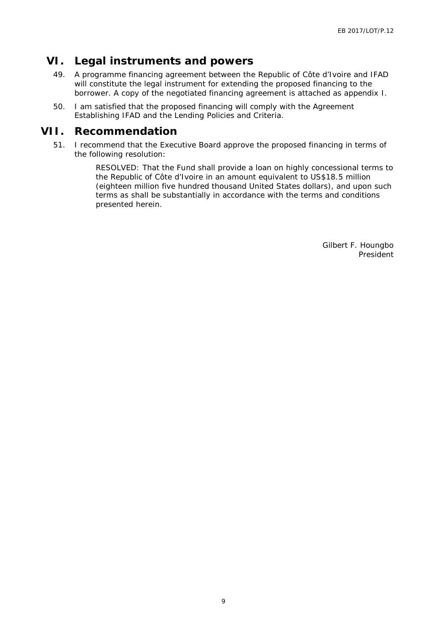# **VI. Legal instruments and powers**

- 49. A programme financing agreement between the Republic of Côte d'Ivoire and IFAD will constitute the legal instrument for extending the proposed financing to the borrower. A copy of the negotiated financing agreement is attached as appendix I.
- 50. I am satisfied that the proposed financing will comply with the Agreement Establishing IFAD and the Lending Policies and Criteria.

### **VII. Recommendation**

51. I recommend that the Executive Board approve the proposed financing in terms of the following resolution:

> RESOLVED: That the Fund shall provide a loan on highly concessional terms to the Republic of Côte d'Ivoire in an amount equivalent to US\$18.5 million (eighteen million five hundred thousand United States dollars), and upon such terms as shall be substantially in accordance with the terms and conditions presented herein.

> > Gilbert F. Houngbo President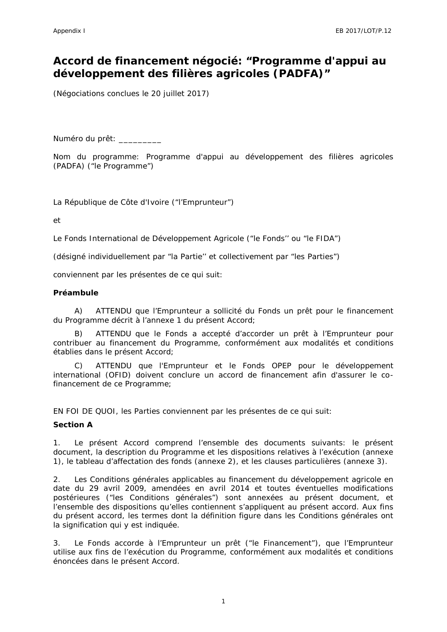# **Accord de financement négocié: "Programme d'appui au développement des filières agricoles (PADFA)"**

(Négociations conclues le 20 juillet 2017)

Numéro du prêt: \_\_\_\_\_\_\_\_\_

Nom du programme: Programme d'appui au développement des filières agricoles (PADFA) ("le Programme")

La République de Côte d'Ivoire ("l'Emprunteur")

et

Le Fonds International de Développement Agricole ("le Fonds'' ou "le FIDA")

(désigné individuellement par "la Partie'' et collectivement par "les Parties")

conviennent par les présentes de ce qui suit:

#### **Préambule**

A) ATTENDU que l'Emprunteur a sollicité du Fonds un prêt pour le financement du Programme décrit à l'annexe 1 du présent Accord;

B) ATTENDU que le Fonds a accepté d'accorder un prêt à l'Emprunteur pour contribuer au financement du Programme, conformément aux modalités et conditions établies dans le présent Accord;

C) ATTENDU que l'Emprunteur et le Fonds OPEP pour le développement international (OFID) doivent conclure un accord de financement afin d'assurer le cofinancement de ce Programme;

EN FOI DE QUOI, les Parties conviennent par les présentes de ce qui suit:

### **Section A**

1. Le présent Accord comprend l'ensemble des documents suivants: le présent document, la description du Programme et les dispositions relatives à l'exécution (annexe 1), le tableau d'affectation des fonds (annexe 2), et les clauses particulières (annexe 3).

2. Les Conditions générales applicables au financement du développement agricole en date du 29 avril 2009, amendées en avril 2014 et toutes éventuelles modifications postérieures ("les Conditions générales") sont annexées au présent document, et l'ensemble des dispositions qu'elles contiennent s'appliquent au présent accord. Aux fins du présent accord, les termes dont la définition figure dans les Conditions générales ont la signification qui y est indiquée.

3. Le Fonds accorde à l'Emprunteur un prêt ("le Financement"), que l'Emprunteur utilise aux fins de l'exécution du Programme, conformément aux modalités et conditions énoncées dans le présent Accord.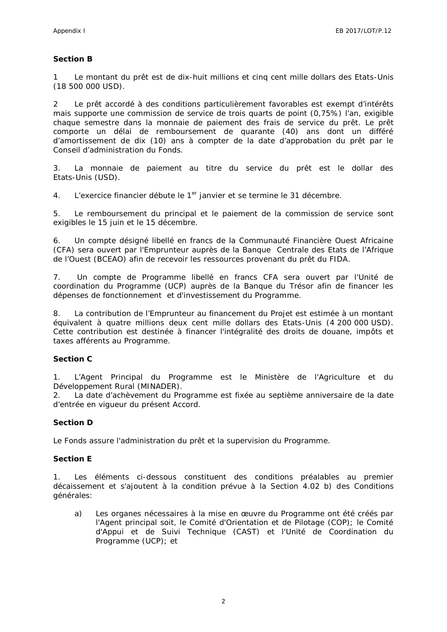#### **Section B**

1 Le montant du prêt est de dix-huit millions et cinq cent mille dollars des Etats-Unis (18 500 000 USD).

2 Le prêt accordé à des conditions particulièrement favorables est exempt d'intérêts mais supporte une commission de service de trois quarts de point (0,75%) l'an, exigible chaque semestre dans la monnaie de paiement des frais de service du prêt. Le prêt comporte un délai de remboursement de quarante (40) ans dont un différé d'amortissement de dix (10) ans à compter de la date d'approbation du prêt par le Conseil d'administration du Fonds.

3. La monnaie de paiement au titre du service du prêt est le dollar des Etats-Unis (USD).

4. L'exercice financier débute le 1<sup>er</sup> janvier et se termine le 31 décembre.

5. Le remboursement du principal et le paiement de la commission de service sont exigibles le 15 juin et le 15 décembre.

6. Un compte désigné libellé en francs de la Communauté Financière Ouest Africaine (CFA) sera ouvert par l'Emprunteur auprès de la Banque Centrale des Etats de l'Afrique de l'Ouest (BCEAO) afin de recevoir les ressources provenant du prêt du FIDA.

7. Un compte de Programme libellé en francs CFA sera ouvert par l'Unité de coordination du Programme (UCP) auprès de la Banque du Trésor afin de financer les dépenses de fonctionnement et d'investissement du Programme.

8. La contribution de l'Emprunteur au financement du Projet est estimée à un montant équivalent à quatre millions deux cent mille dollars des Etats-Unis (4 200 000 USD). Cette contribution est destinée à financer l'intégralité des droits de douane, impôts et taxes afférents au Programme.

#### **Section C**

1. L'Agent Principal du Programme est le Ministère de l'Agriculture et du Développement Rural (MINADER).

2. La date d'achèvement du Programme est fixée au septième anniversaire de la date d'entrée en vigueur du présent Accord.

### **Section D**

Le Fonds assure l'administration du prêt et la supervision du Programme.

### **Section E**

1. Les éléments ci-dessous constituent des conditions préalables au premier décaissement et s'ajoutent à la condition prévue à la Section 4.02 b) des Conditions générales:

a) Les organes nécessaires à la mise en œuvre du Programme ont été créés par l'Agent principal soit, le Comité d'Orientation et de Pilotage (COP); le Comité d'Appui et de Suivi Technique (CAST) et l'Unité de Coordination du Programme (UCP); et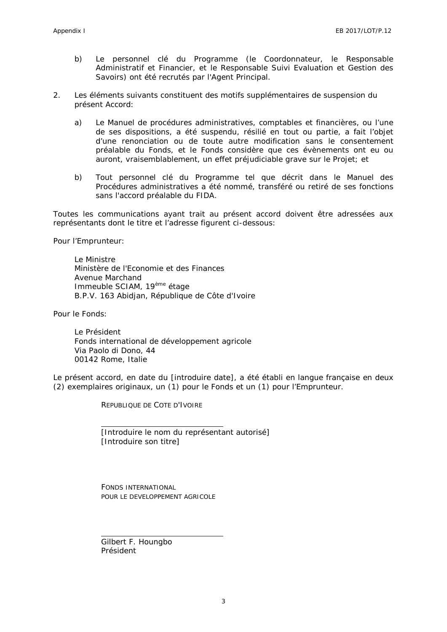- b) Le personnel clé du Programme (le Coordonnateur, le Responsable Administratif et Financier, et le Responsable Suivi Evaluation et Gestion des Savoirs) ont été recrutés par l'Agent Principal.
- 2. Les éléments suivants constituent des motifs supplémentaires de suspension du présent Accord:
	- a) Le Manuel de procédures administratives, comptables et financières, ou l'une de ses dispositions, a été suspendu, résilié en tout ou partie, a fait l'objet d'une renonciation ou de toute autre modification sans le consentement préalable du Fonds, et le Fonds considère que ces évènements ont eu ou auront, vraisemblablement, un effet préjudiciable grave sur le Projet; et
	- b) Tout personnel clé du Programme tel que décrit dans le Manuel des Procédures administratives a été nommé, transféré ou retiré de ses fonctions sans l'accord préalable du FIDA.

Toutes les communications ayant trait au présent accord doivent être adressées aux représentants dont le titre et l'adresse figurent ci-dessous:

Pour l'Emprunteur:

Le Ministre Ministère de l'Economie et des Finances Avenue Marchand Immeuble SCIAM, 19<sup>ème</sup> étage B.P.V. 163 Abidjan, République de Côte d'Ivoire

Pour le Fonds:

Le Président Fonds international de développement agricole Via Paolo di Dono, 44 00142 Rome, Italie

Le présent accord, en date du [introduire date], a été établi en langue française en deux (2) exemplaires originaux, un (1) pour le Fonds et un (1) pour l'Emprunteur.

REPUBLIQUE DE COTE D'IVOIRE

[Introduire le nom du représentant autorisé] [Introduire son titre]

FONDS INTERNATIONAL POUR LE DEVELOPPEMENT AGRICOLE

Gilbert F. Houngbo Président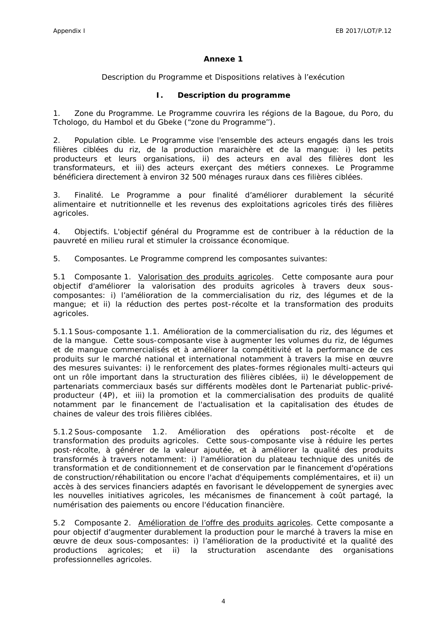### **Annexe 1**

### *Description du Programme et Dispositions relatives à l'exécution*

### **I. Description du programme**

1. *Zone du Programme*. Le Programme couvrira les régions de la Bagoue, du Poro, du Tchologo, du Hambol et du Gbeke ("zone du Programme'').

*2. Population cible*. Le Programme vise l'ensemble des acteurs engagés dans les trois filières ciblées du riz, de la production maraichère et de la mangue: i) les petits producteurs et leurs organisations, ii) des acteurs en aval des filières dont les transformateurs, et iii) des acteurs exerçant des métiers connexes. Le Programme bénéficiera directement à environ 32 500 ménages ruraux dans ces filières ciblées.

3. *Finalité*. Le Programme a pour finalité d'améliorer durablement la sécurité alimentaire et nutritionnelle et les revenus des exploitations agricoles tirés des filières agricoles.

4. *Objectifs*. L'objectif général du Programme est de contribuer à la réduction de la pauvreté en milieu rural et stimuler la croissance économique.

5. *Composantes*. Le Programme comprend les composantes suivantes:

5.1 *Composante 1*. Valorisation des produits agricoles. Cette composante aura pour objectif d'améliorer la valorisation des produits agricoles à travers deux sous composantes: i) l'amélioration de la commercialisation du riz, des légumes et de la mangue; et ii) la réduction des pertes post-récolte et la transformation des produits agricoles.

5.1.1 Sous-composante 1.1. *Amélioration de la commercialisation du riz, des légumes et de la mangue.* Cette sous-composante vise à augmenter les volumes du riz, de légumes et de mangue commercialisés et à améliorer la compétitivité et la performance de ces produits sur le marché national et international notamment à travers la mise en œuvre des mesures suivantes: i) le renforcement des plates-formes régionales multi-acteurs qui ont un rôle important dans la structuration des filières ciblées, ii) le développement de partenariats commerciaux basés sur différents modèles dont le Partenariat public-privé producteur (4P), et iii) la promotion et la commercialisation des produits de qualité notamment par le financement de l'actualisation et la capitalisation des études de chaines de valeur des trois filières ciblées.

5.1.2 Sous-composante 1.2. *Amélioration des opérations post-récolte et de transformation des produits agricoles*. Cette sous-composante vise à réduire les pertes post-récolte, à générer de la valeur ajoutée, et à améliorer la qualité des produits transformés à travers notamment: i) l'amélioration du plateau technique des unités de transformation et de conditionnement et de conservation par le financement d'opérations de construction/réhabilitation ou encore l'achat d'équipements complémentaires, et ii) un accès à des services financiers adaptés en favorisant le développement de synergies avec les nouvelles initiatives agricoles, les mécanismes de financement à coût partagé, la numérisation des paiements ou encore l'éducation financière.

5.2 *Composante 2*. Amélioration de l'offre des produits agricoles. Cette composante a pour objectif d'augmenter durablement la production pour le marché à travers la mise en œuvre de deux sous-composantes: i) l'amélioration de la productivité et la qualité des productions agricoles; et ii) la structuration ascendante des organisations professionnelles agricoles.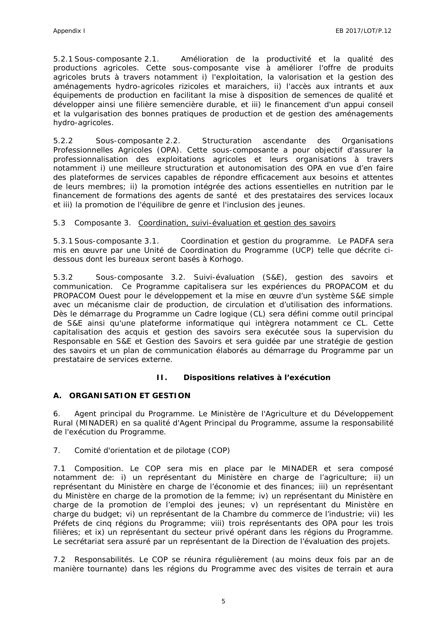5.2.1 Sous-composante 2.1. *Amélioration de la productivité et la qualité des productions agricoles.* Cette sous-composante vise à améliorer l'offre de produits agricoles bruts à travers notamment i) l'exploitation, la valorisation et la gestion des aménagements hydro-agricoles rizicoles et maraichers, ii) l'accès aux intrants et aux équipements de production en facilitant la mise à disposition de semences de qualité et développer ainsi une filière semencière durable, et iii) le financement d'un appui conseil et la vulgarisation des bonnes pratiques de production et de gestion des aménagements hydro-agricoles.

5.2.2 Sous-composante 2.2. *Structuration ascendante des Organisations Professionnelles Agricoles (OPA).* Cette sous-composante a pour objectif d'assurer la professionnalisation des exploitations agricoles et leurs organisations à travers notamment i) une meilleure structuration et autonomisation des OPA en vue d'en faire des plateformes de services capables de répondre efficacement aux besoins et attentes de leurs membres; ii) la promotion intégrée des actions essentielles en nutrition par le financement de formations des agents de santé et des prestataires des services locaux et iii) la promotion de l'équilibre de genre et l'inclusion des jeunes.

5.3 Composante 3. Coordination, suivi-évaluation et gestion des savoirs

5.3.1 Sous-composante 3.1. *Coordination et gestion du programme.* Le PADFA sera mis en œuvre par une Unité de Coordination du Programme (UCP) telle que décrite ci dessous dont les bureaux seront basés à Korhogo.

5.3.2 Sous-composante 3.2. *Suivi-évaluation (S&E), gestion des savoirs et communication.* Ce Programme capitalisera sur les expériences du PROPACOM et du PROPACOM Ouest pour le développement et la mise en œuvre d'un système S&E simple avec un mécanisme clair de production, de circulation et d'utilisation des informations. Dès le démarrage du Programme un Cadre logique (CL) sera défini comme outil principal de S&E ainsi qu'une plateforme informatique qui intègrera notamment ce CL. Cette capitalisation des acquis et gestion des savoirs sera exécutée sous la supervision du Responsable en S&E et Gestion des Savoirs et sera guidée par une stratégie de gestion des savoirs et un plan de communication élaborés au démarrage du Programme par un prestataire de services externe.

**II. Dispositions relatives à l'exécution**

**A. ORGANISATION ET GESTION**

6. *Agent principal du Programme.* Le Ministère de l'Agriculture et du Développement Rural (MINADER) en sa qualité d'Agent Principal du Programme, assume la responsabilité de l'exécution du Programme.

7. *Comité d'orientation et de pilotage (COP)*

7.1 *Composition*. Le COP sera mis en place par le MINADER et sera composé notamment de: i) un représentant du Ministère en charge de l'agriculture; ii) un représentant du Ministère en charge de l'économie et des finances; iii) un représentant du Ministère en charge de la promotion de la femme; iv) un représentant du Ministère en charge de la promotion de l'emploi des jeunes; v) un représentant du Ministère en charge du budget; vi) un représentant de la Chambre du commerce de l'industrie; vii) les Préfets de cinq régions du Programme; viii) trois représentants des OPA pour les trois filières; et ix) un représentant du secteur privé opérant dans les régions du Programme. Le secrétariat sera assuré par un représentant de la Direction de l'évaluation des projets.

7.2 *Responsabilités*. Le COP se réunira régulièrement (au moins deux fois par an de manière tournante) dans les régions du Programme avec des visites de terrain et aura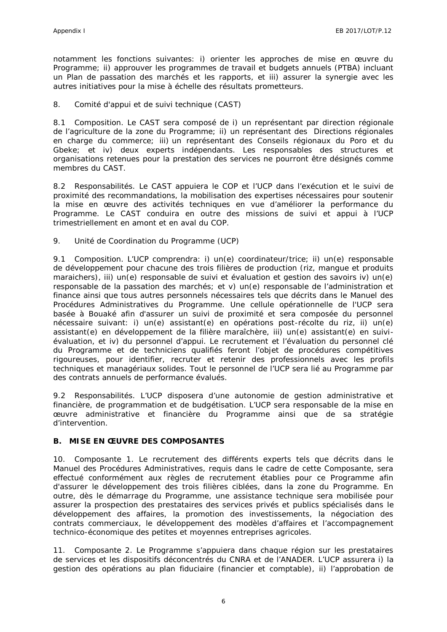notamment les fonctions suivantes: i) orienter les approches de mise en œuvre du Programme; ii) approuver les programmes de travail et budgets annuels (PTBA) incluant un Plan de passation des marchés et les rapports, et iii) assurer la synergie avec les autres initiatives pour la mise à échelle des résultats prometteurs.

8. *Comité d'appui et de suivi technique (CAST)*

8.1 *Composition*. Le CAST sera composé de i) un représentant par direction régionale de l'agriculture de la zone du Programme; ii) un représentant des Directions régionales en charge du commerce; iii) un représentant des Conseils régionaux du Poro et du Gbeke; et iv) deux experts indépendants. Les responsables des structures et organisations retenues pour la prestation des services ne pourront être désignés comme membres du CAST.

8.2 *Responsabilités*. Le CAST appuiera le COP et l'UCP dans l'exécution et le suivi de proximité des recommandations, la mobilisation des expertises nécessaires pour soutenir la mise en œuvre des activités techniques en vue d'améliorer la performance du Programme. Le CAST conduira en outre des missions de suivi et appui à l'UCP trimestriellement en amont et en aval du COP.

9. *Unité de Coordination du Programme (UCP)*

9.1 *Composition*. L'UCP comprendra: i) un(e) coordinateur/trice; ii) un(e) responsable de développement pour chacune des trois filières de production (riz, mangue et produits maraichers), iii) un(e) responsable de suivi et évaluation et gestion des savoirs iv) un(e) responsable de la passation des marchés; et v) un(e) responsable de l'administration et finance ainsi que tous autres personnels nécessaires tels que décrits dans le Manuel des Procédures Administratives du Programme. Une cellule opérationnelle de l'UCP sera basée à Bouaké afin d'assurer un suivi de proximité et sera composée du personnel nécessaire suivant: i) un(e) assistant(e) en opérations post-récolte du riz, ii) un(e) assistant(e) en développement de la filière maraîchère, iii) un(e) assistant(e) en suivi évaluation, et iv) du personnel d'appui. Le recrutement et l'évaluation du personnel clé du Programme et de techniciens qualifiés feront l'objet de procédures compétitives rigoureuses, pour identifier, recruter et retenir des professionnels avec les profils techniques et managériaux solides. Tout le personnel de l'UCP sera lié au Programme par des contrats annuels de performance évalués.

9.2 *Responsabilités*. L'UCP disposera d'une autonomie de gestion administrative et financière, de programmation et de budgétisation. L'UCP sera responsable de la mise en œuvre administrative et financière du Programme ainsi que de sa stratégie d'intervention.

### **B. MISE EN ŒUVRE DES COMPOSANTES**

10. *Composante 1*. Le recrutement des différents experts tels que décrits dans le Manuel des Procédures Administratives, requis dans le cadre de cette Composante, sera effectué conformément aux règles de recrutement établies pour ce Programme afin d'assurer le développement des trois filières ciblées, dans la zone du Programme. En outre, dès le démarrage du Programme, une assistance technique sera mobilisée pour assurer la prospection des prestataires des services privés et publics spécialisés dans le développement des affaires, la promotion des investissements, la négociation des contrats commerciaux, le développement des modèles d'affaires et l'accompagnement technico-économique des petites et moyennes entreprises agricoles.

11. *Composante 2*. Le Programme s'appuiera dans chaque région sur les prestataires de services et les dispositifs déconcentrés du CNRA et de l'ANADER. L'UCP assurera i) la gestion des opérations au plan fiduciaire (financier et comptable), ii) l'approbation de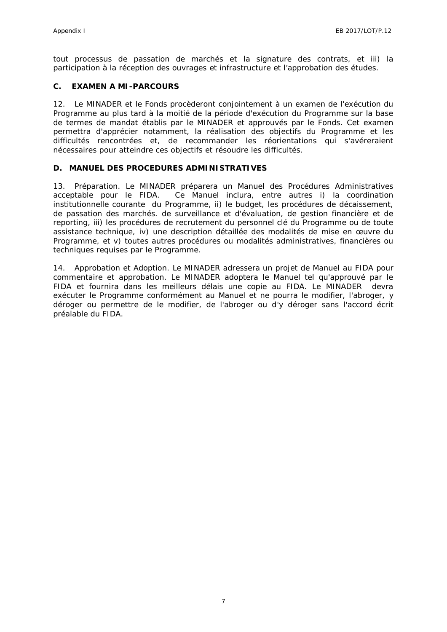tout processus de passation de marchés et la signature des contrats, et iii) la participation à la réception des ouvrages et infrastructure et l'approbation des études.

### **C. EXAMEN A MI-PARCOURS**

12. Le MINADER et le Fonds procèderont conjointement à un examen de l'exécution du Programme au plus tard à la moitié de la période d'exécution du Programme sur la base de termes de mandat établis par le MINADER et approuvés par le Fonds. Cet examen permettra d'apprécier notamment, la réalisation des objectifs du Programme et les difficultés rencontrées et, de recommander les réorientations qui s'avéreraient nécessaires pour atteindre ces objectifs et résoudre les difficultés.

### **D. MANUEL DES PROCEDURES ADMINISTRATIVES**

13. *Préparation*. Le MINADER préparera un Manuel des Procédures Administratives acceptable pour le FIDA. Ce Manuel inclura, entre autres i) la coordination institutionnelle courante du Programme, ii) le budget, les procédures de décaissement, de passation des marchés. de surveillance et d'évaluation, de gestion financière et de reporting, iii) les procédures de recrutement du personnel clé du Programme ou de toute assistance technique, iv) une description détaillée des modalités de mise en œuvre du Programme, et v) toutes autres procédures ou modalités administratives, financières ou techniques requises par le Programme.

14. *Approbation et Adoption*. Le MINADER adressera un projet de Manuel au FIDA pour commentaire et approbation. Le MINADER adoptera le Manuel tel qu'approuvé par le FIDA et fournira dans les meilleurs délais une copie au FIDA. Le MINADER devra exécuter le Programme conformément au Manuel et ne pourra le modifier, l'abroger, y déroger ou permettre de le modifier, de l'abroger ou d'y déroger sans l'accord écrit préalable du FIDA.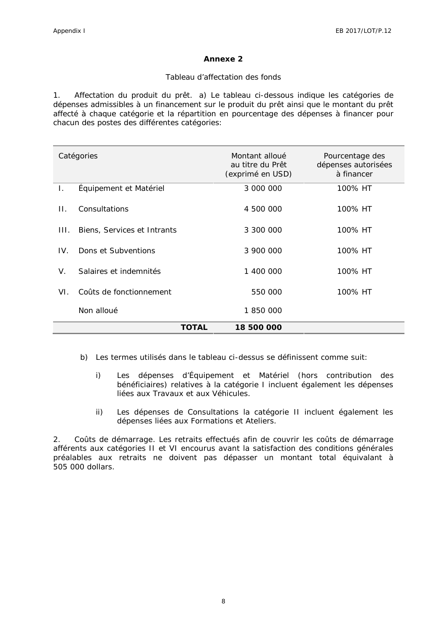### **Annexe 2**

#### *Tableau d'affectation des fonds*

1. *Affectation du produit du prêt.* a) Le tableau ci-dessous indique les catégories de dépenses admissibles à un financement sur le produit du prêt ainsi que le montant du prêt affecté à chaque catégorie et la répartition en pourcentage des dépenses à financer pour chacun des postes des différentes catégories:

|         | Catégories                  | Montant alloué<br>au titre du Prêt<br>(exprimé en USD) | Pourcentage des<br>dépenses autorisées<br>à financer |
|---------|-----------------------------|--------------------------------------------------------|------------------------------------------------------|
| L.      | Équipement et Matériel      | 3 000 000                                              | 100% HT                                              |
| $\Pi$ . | Consultations               | 4 500 000                                              | 100% HT                                              |
| HL.     | Biens, Services et Intrants | 3 300 000                                              | 100% HT                                              |
| IV.     | Dons et Subventions         | 3 900 000                                              | 100% HT                                              |
| V.      | Salaires et indemnités      | 1 400 000                                              | 100% HT                                              |
| VI.     | Coûts de fonctionnement     | 550 000                                                | 100% HT                                              |
|         | Non alloué                  | 1850000                                                |                                                      |
|         | <b>TOTAL</b>                | 18 500 000                                             |                                                      |

- b) Les termes utilisés dans le tableau ci-dessus se définissent comme suit:
	- i) Les dépenses d'Équipement et Matériel (hors contribution des bénéficiaires) relatives à la catégorie I incluent également les dépenses liées aux Travaux et aux Véhicules.
	- ii) Les dépenses de Consultations la catégorie II incluent également les dépenses liées aux Formations et Ateliers.

2. *Coûts de démarrage*. Les retraits effectués afin de couvrir les coûts de démarrage afférents aux catégories II et VI encourus avant la satisfaction des conditions générales préalables aux retraits ne doivent pas dépasser un montant total équivalant à 505 000 dollars.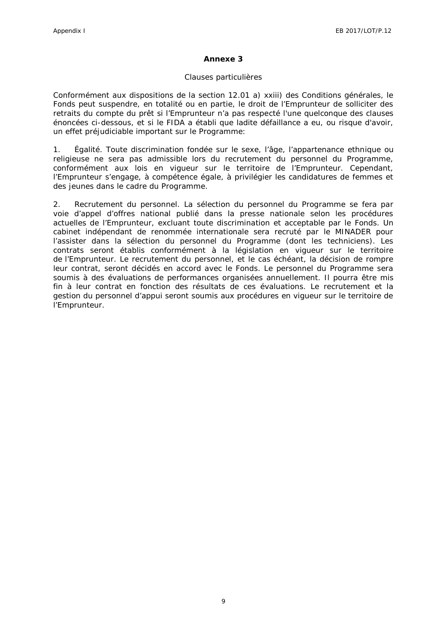### **Annexe 3**

#### *Clauses particulières*

Conformément aux dispositions de la section 12.01 a) xxiii) des Conditions générales, le Fonds peut suspendre, en totalité ou en partie, le droit de l'Emprunteur de solliciter des retraits du compte du prêt si l'Emprunteur n'a pas respecté l'une quelconque des clauses énoncées ci-dessous, et si le FIDA a établi que ladite défaillance a eu, ou risque d'avoir, un effet préjudiciable important sur le Programme:

1. *Égalité.* Toute discrimination fondée sur le sexe, l'âge, l'appartenance ethnique ou religieuse ne sera pas admissible lors du recrutement du personnel du Programme, conformément aux lois en vigueur sur le territoire de l'Emprunteur. Cependant, l'Emprunteur s'engage, à compétence égale, à privilégier les candidatures de femmes et des jeunes dans le cadre du Programme.

2. *Recrutement du personnel*. La sélection du personnel du Programme se fera par voie d'appel d'offres national publié dans la presse nationale selon les procédures actuelles de l'Emprunteur, excluant toute discrimination et acceptable par le Fonds. Un cabinet indépendant de renommée internationale sera recruté par le MINADER pour l'assister dans la sélection du personnel du Programme (dont les techniciens). Les contrats seront établis conformément à la législation en vigueur sur le territoire de l'Emprunteur. Le recrutement du personnel, et le cas échéant, la décision de rompre leur contrat, seront décidés en accord avec le Fonds. Le personnel du Programme sera soumis à des évaluations de performances organisées annuellement. Il pourra être mis fin à leur contrat en fonction des résultats de ces évaluations. Le recrutement et la gestion du personnel d'appui seront soumis aux procédures en vigueur sur le territoire de l'Emprunteur.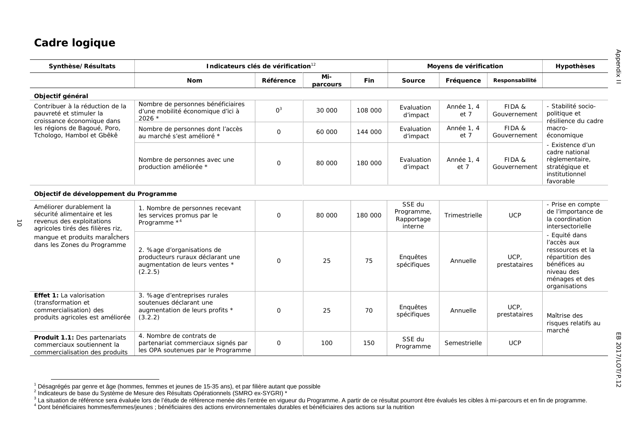$\vec{o}$ 

| Synthèse/Résultats                                                                                                        | Indicateurs clés de vérification <sup>12</sup>                                                              |              |                 |         |                                               | Moyens de vérification |                        | Hypothèses                                                                                                                           |  |
|---------------------------------------------------------------------------------------------------------------------------|-------------------------------------------------------------------------------------------------------------|--------------|-----------------|---------|-----------------------------------------------|------------------------|------------------------|--------------------------------------------------------------------------------------------------------------------------------------|--|
|                                                                                                                           | Nom                                                                                                         | Référence    | Mi-<br>parcours | Fin     | Source                                        | Fréquence              | Responsabilité         |                                                                                                                                      |  |
| Objectif général                                                                                                          |                                                                                                             |              |                 |         |                                               |                        |                        |                                                                                                                                      |  |
| Contribuer à la réduction de la<br>pauvreté et stimuler la<br>croissance économique dans                                  | Nombre de personnes bénéficiaires<br>d'une mobilité économique d'ici à<br>$2026$ *                          | $0^3$        | 30 000          | 108 000 | Evaluation<br>d'impact                        | Année 1, 4<br>et 7     | FIDA &<br>Gouvernement | - Stabilité socio-<br>politique et<br>résilience du cadre<br>macro-<br>économique                                                    |  |
| les régions de Bagoué, Poro,<br>Tchologo, Hambol et Gbêkê                                                                 | Nombre de personnes dont l'accès<br>au marché s'est amélioré *                                              | $\mathbf{O}$ | 60 000          | 144 000 | Evaluation<br>d'impact                        | Année 1, 4<br>et 7     | FIDA &<br>Gouvernement |                                                                                                                                      |  |
|                                                                                                                           | Nombre de personnes avec une<br>production améliorée *                                                      | $\mathbf{O}$ | 80 000          | 180 000 | Evaluation<br>d'impact                        | Année 1, 4<br>et 7     | FIDA &<br>Gouvernement | - Existence d'un<br>cadre national<br>règlementaire,<br>stratégique et<br>institutionnel<br>favorable                                |  |
| Objectif de développement du Programme                                                                                    |                                                                                                             |              |                 |         |                                               |                        |                        |                                                                                                                                      |  |
| Améliorer durablement la<br>sécurité alimentaire et les<br>revenus des exploitations<br>agricoles tirés des filières riz, | 1. Nombre de personnes recevant<br>les services promus par le<br>Programme <sup>*4</sup>                    | $\mathbf{O}$ | 80 000          | 180 000 | SSE du<br>Programme,<br>Rapportage<br>interne | Trimestrielle          | <b>UCP</b>             | - Prise en compte<br>de l'importance de<br>la coordination<br>intersectorielle                                                       |  |
| mangue et produits maraîchers<br>dans les Zones du Programme                                                              | 2. %age d'organisations de<br>producteurs ruraux déclarant une<br>augmentation de leurs ventes *<br>(2.2.5) | $\mathbf{O}$ | 25              | 75      | Enquêtes<br>spécifiques                       | Annuelle               | UCP,<br>prestataires   | - Equité dans<br>l'accès aux<br>ressources et la<br>répartition des<br>bénéfices au<br>niveau des<br>ménages et des<br>organisations |  |
| Effet 1: La valorisation<br>(transformation et<br>commercialisation) des<br>produits agricoles est améliorée              | 3. %age d'entreprises rurales<br>soutenues déclarant une<br>augmentation de leurs profits *<br>(3.2.2)      | $\mathbf{O}$ | 25              | 70      | Enquêtes<br>spécifiques                       | Annuelle               | UCP,<br>prestataires   | Maîtrise des<br>risques relatifs au                                                                                                  |  |
| Produit 1.1: Des partenariats<br>commerciaux soutiennent la<br>commercialisation des produits                             | 4. Nombre de contrats de<br>partenariat commerciaux signés par<br>les OPA soutenues par le Programme        | $\mathbf{O}$ | 100             | 150     | SSE du<br>Programme                           | Semestrielle           | <b>UCP</b>             | marché                                                                                                                               |  |

<sup>&</sup>lt;sup>1</sup> Désagrégés par genre et âge (hommes, femmes et jeunes de 15-35 ans), et par filière autant que possible<br><sup>2</sup> Indicateurs de base du Système de Mesure des Résultats Opérationnels (SMRO ex-SYGRI) \*<br><sup>3</sup> La situation de réf